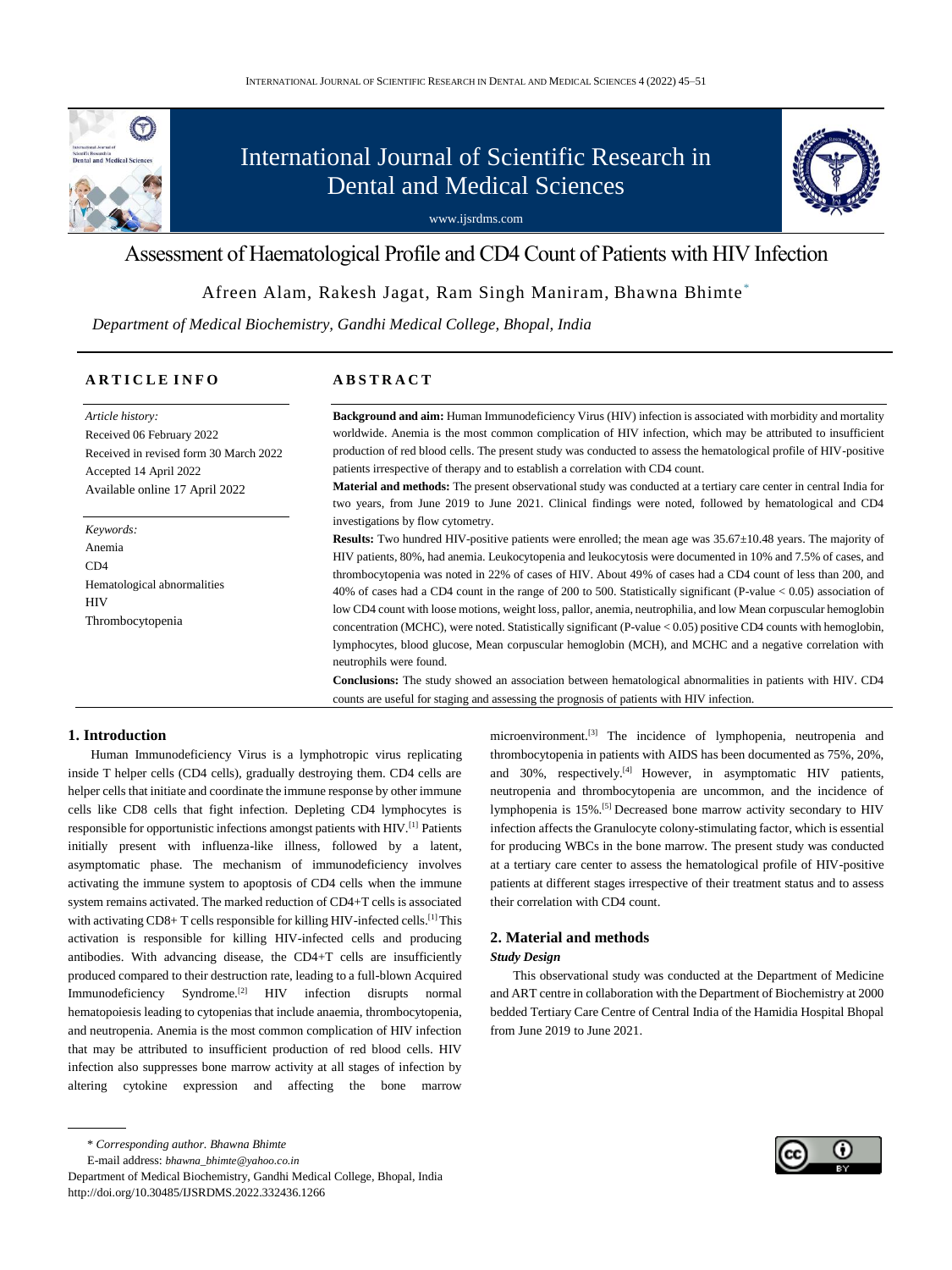

# International Journal of Scientific Research in Dental and Medical Sciences



# Assessment of Haematological Profile and CD4 Count of Patients with HIV Infection

# Afreen Alam, Rakesh Jagat, Ram Singh Maniram, Bhawna Bhimte \*

 *Department of Medical Biochemistry, Gandhi Medical College, Bhopal, India*

# **A R T I C L E I N F O**

*Article history:* Received 06 February 2022 Received in revised form 30 March 2022 Accepted 14 April 2022 Available online 17 April 2022

*Keywords:* Anemia  $CD4$ Hematological abnormalities HIV Thrombocytopenia

# **A B S T R A C T**

**Background and aim:** Human Immunodeficiency Virus (HIV) infection is associated with morbidity and mortality worldwide. Anemia is the most common complication of HIV infection, which may be attributed to insufficient production of red blood cells. The present study was conducted to assess the hematological profile of HIV-positive patients irrespective of therapy and to establish a correlation with CD4 count.

**Material and methods:** The present observational study was conducted at a tertiary care center in central India for two years, from June 2019 to June 2021. Clinical findings were noted, followed by hematological and CD4 investigations by flow cytometry.

**Results:** Two hundred HIV-positive patients were enrolled; the mean age was 35.67±10.48 years. The majority of HIV patients, 80%, had anemia. Leukocytopenia and leukocytosis were documented in 10% and 7.5% of cases, and thrombocytopenia was noted in 22% of cases of HIV. About 49% of cases had a CD4 count of less than 200, and 40% of cases had a CD4 count in the range of 200 to 500. Statistically significant (P-value < 0.05) association of low CD4 count with loose motions, weight loss, pallor, anemia, neutrophilia, and low Mean corpuscular hemoglobin concentration (MCHC), were noted. Statistically significant (P-value < 0.05) positive CD4 counts with hemoglobin, lymphocytes, blood glucose, Mean corpuscular hemoglobin (MCH), and MCHC and a negative correlation with neutrophils were found.

**Conclusions:** The study showed an association between hematological abnormalities in patients with HIV. CD4 counts are useful for staging and assessing the prognosis of patients with HIV infection.

# **1. Introduction**

Human Immunodeficiency Virus is a lymphotropic virus replicating inside T helper cells (CD4 cells), gradually destroying them. CD4 cells are helper cells that initiate and coordinate the immune response by other immune cells like CD8 cells that fight infection. Depleting CD4 lymphocytes is responsible for opportunistic infections amongst patients with HIV.[1] Patients initially present with influenza-like illness, followed by a latent, asymptomatic phase. The mechanism of immunodeficiency involves activating the immune system to apoptosis of CD4 cells when the immune system remains activated. The marked reduction of CD4+T cells is associated with activating CD8+ T cells responsible for killing HIV-infected cells.<sup>[1]</sup> This activation is responsible for killing HIV-infected cells and producing antibodies. With advancing disease, the CD4+T cells are insufficiently produced compared to their destruction rate, leading to a full-blown Acquired Immunodeficiency Syndrome.[2] HIV infection disrupts normal hematopoiesis leading to cytopenias that include anaemia, thrombocytopenia, and neutropenia. Anemia is the most common complication of HIV infection that may be attributed to insufficient production of red blood cells. HIV infection also suppresses bone marrow activity at all stages of infection by altering cytokine expression and affecting the bone marrow

E-mail address: *[bhawna\\_bhimte@yahoo.co.in](mailto:bhawna_bhimte@yahoo.co.in)*

Department of Medical Biochemistry, Gandhi Medical College, Bhopal, India http://doi.org/10.30485/IJSRDMS.2022.332436.1266

microenvironment.<sup>[3]</sup> The incidence of lymphopenia, neutropenia and thrombocytopenia in patients with AIDS has been documented as 75%, 20%, and 30%, respectively.<sup>[4]</sup> However, in asymptomatic HIV patients, neutropenia and thrombocytopenia are uncommon, and the incidence of lymphopenia is 15%.[5] Decreased bone marrow activity secondary to HIV infection affects the Granulocyte colony-stimulating factor, which is essential for producing WBCs in the bone marrow. The present study was conducted at a tertiary care center to assess the hematological profile of HIV-positive patients at different stages irrespective of their treatment status and to assess their correlation with CD4 count.

# **2. Material and methods**

#### *Study Design*

This observational study was conducted at the Department of Medicine and ART centre in collaboration with the Department of Biochemistry at 2000 bedded Tertiary Care Centre of Central India of the Hamidia Hospital Bhopal from June 2019 to June 2021.



<sup>\*</sup> *Corresponding author. Bhawna Bhimte*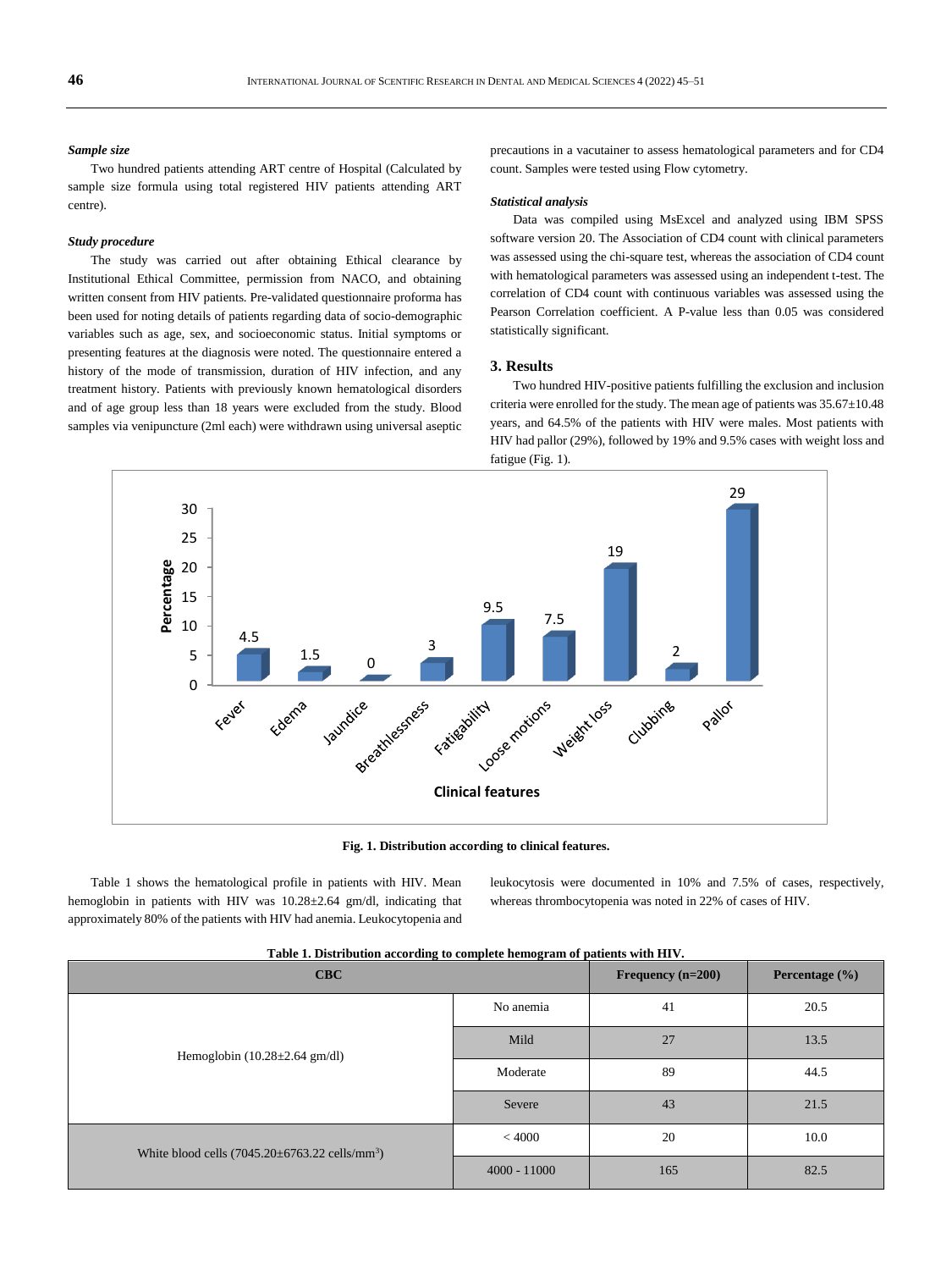#### *Sample size*

Two hundred patients attending ART centre of Hospital (Calculated by sample size formula using total registered HIV patients attending ART centre).

#### *Study procedure*

The study was carried out after obtaining Ethical clearance by Institutional Ethical Committee, permission from NACO, and obtaining written consent from HIV patients. Pre-validated questionnaire proforma has been used for noting details of patients regarding data of socio-demographic variables such as age, sex, and socioeconomic status. Initial symptoms or presenting features at the diagnosis were noted. The questionnaire entered a history of the mode of transmission, duration of HIV infection, and any treatment history. Patients with previously known hematological disorders and of age group less than 18 years were excluded from the study. Blood samples via venipuncture (2ml each) were withdrawn using universal aseptic

precautions in a vacutainer to assess hematological parameters and for CD4 count. Samples were tested using Flow cytometry.

#### *Statistical analysis*

Data was compiled using MsExcel and analyzed using IBM SPSS software version 20. The Association of CD4 count with clinical parameters was assessed using the chi-square test, whereas the association of CD4 count with hematological parameters was assessed using an independent t-test. The correlation of CD4 count with continuous variables was assessed using the Pearson Correlation coefficient. A P-value less than 0.05 was considered statistically significant.

#### **3. Results**

Two hundred HIV-positive patients fulfilling the exclusion and inclusion criteria were enrolled for the study. The mean age of patients was 35.67±10.48 years, and 64.5% of the patients with HIV were males. Most patients with HIV had pallor (29%), followed by 19% and 9.5% cases with weight loss and fatigue (Fig. 1).



**Fig. 1. Distribution according to clinical features.**

Table 1 shows the hematological profile in patients with HIV. Mean hemoglobin in patients with HIV was 10.28±2.64 gm/dl, indicating that approximately 80% of the patients with HIV had anemia. Leukocytopenia and leukocytosis were documented in 10% and 7.5% of cases, respectively, whereas thrombocytopenia was noted in 22% of cases of HIV.

| CBC                                                          | Frequency $(n=200)$ | Percentage $(\% )$ |      |
|--------------------------------------------------------------|---------------------|--------------------|------|
|                                                              | No anemia           | 41                 | 20.5 |
| Hemoglobin $(10.28 \pm 2.64$ gm/dl)                          | Mild                | 27                 | 13.5 |
|                                                              | Moderate            | 89                 | 44.5 |
|                                                              | Severe              | 43                 | 21.5 |
| White blood cells $(7045.20 \pm 6763.22 \text{ cells/mm}^3)$ | < 4000              | 20                 | 10.0 |
|                                                              | $4000 - 11000$      | 165                | 82.5 |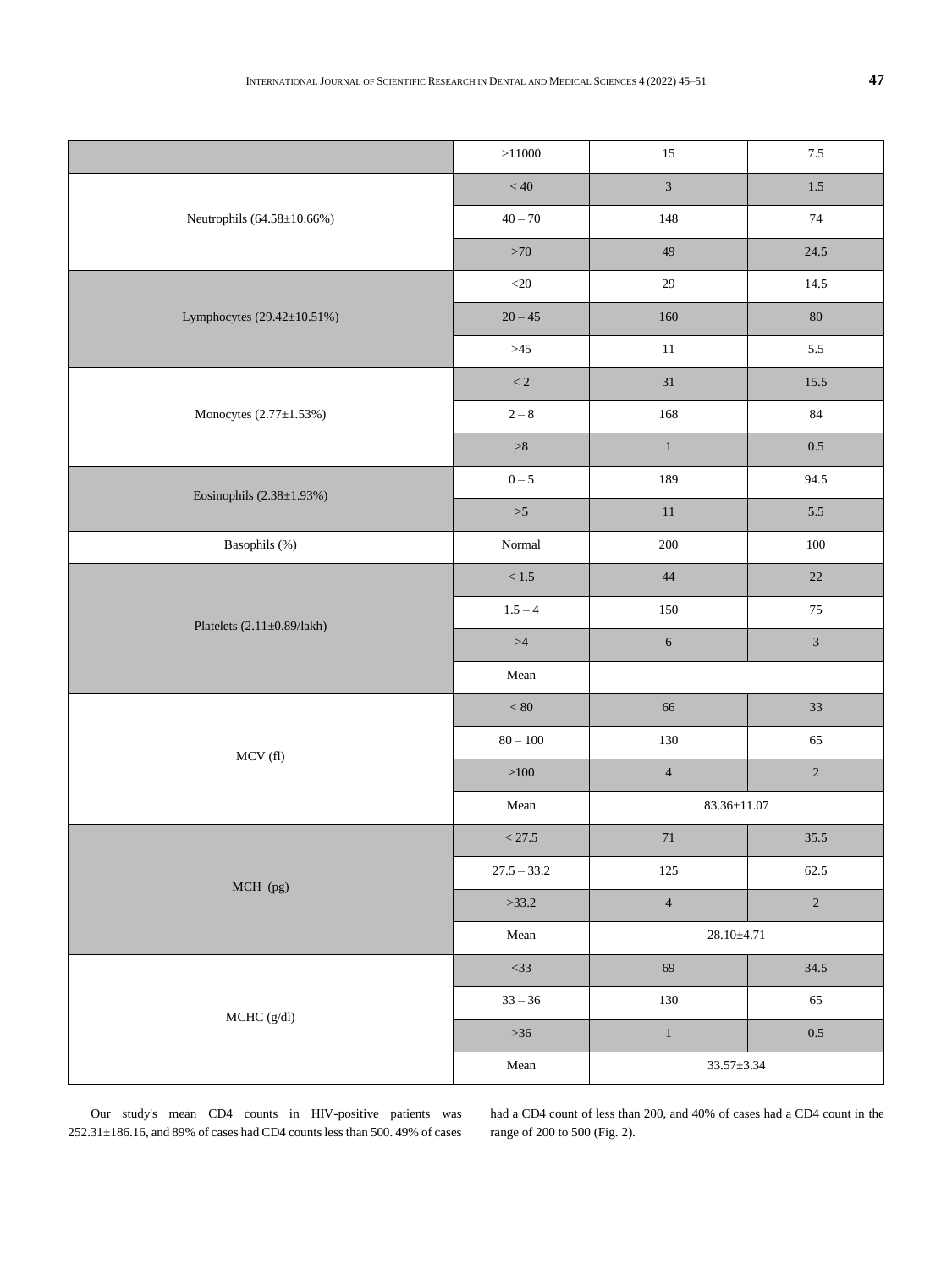|                               | >11000          | 15                | $7.5\,$        |
|-------------------------------|-----------------|-------------------|----------------|
|                               | < 40            | $\overline{3}$    | $1.5\,$        |
| Neutrophils (64.58±10.66%)    | $40 - 70$       | 148               | $74\,$         |
|                               | $>70$           | 49                | 24.5           |
|                               | ${<}20$         | $29\,$            | 14.5           |
| Lymphocytes (29.42±10.51%)    | $20 - 45$       | 160               | $80\,$         |
|                               | $>45$           | $11\,$            | 5.5            |
|                               | $\rm < 2$       | 31                | 15.5           |
| Monocytes $(2.77 \pm 1.53\%)$ | $2-8$           | 168               | $84\,$         |
|                               | $>\!\!8$        | $\,1$             | $0.5\,$        |
| Eosinophils $(2.38\pm1.93\%)$ | $0 - 5$         | 189               | 94.5           |
|                               | $>5$            | $11\,$            | $5.5\,$        |
| Basophils (%)                 | $\mbox{Normal}$ | $200\,$           | $100\,$        |
|                               | $<1.5\,$        | 44                | 22             |
| Platelets (2.11±0.89/lakh)    | $1.5 - 4$       | 150               | $75\,$         |
|                               | $>\!\!4$        | $\overline{6}$    | $\overline{3}$ |
|                               | Mean            |                   |                |
|                               | $< 80\,$        | 66                | 33             |
| MCV(fl)                       | $80 - 100$      | 130               | 65             |
|                               | ${>}100$        | $\overline{4}$    | $\sqrt{2}$     |
|                               | ${\bf Mean}$    | $83.36 \pm 11.07$ |                |
|                               | $<27.5\,$       | $71\,$            | 35.5           |
| MCH (pg)                      | $27.5 - 33.2$   | $125\,$           | 62.5           |
|                               | >33.2           | $\overline{4}$    | $\sqrt{2}$     |
|                               | Mean            | $28.10 \pm 4.71$  |                |
|                               | $<$ 33          | 69                | 34.5           |
| $MCHC (g/dl)$                 | $33 - 36$       | $130\,$           | 65             |
|                               | $>36$           | $\,1\,$           | $0.5\,$        |
|                               | ${\bf Mean}$    | $33.57 \pm 3.34$  |                |
|                               |                 |                   |                |

Our study's mean CD4 counts in HIV-positive patients was  $252.31{\pm}186.16,$  and  $89\%$  of cases had CD4 counts less than 500. 49% of cases had a CD4 count of less than 200, and 40% of cases had a CD4 count in the range of 200 to 500 (Fig. 2).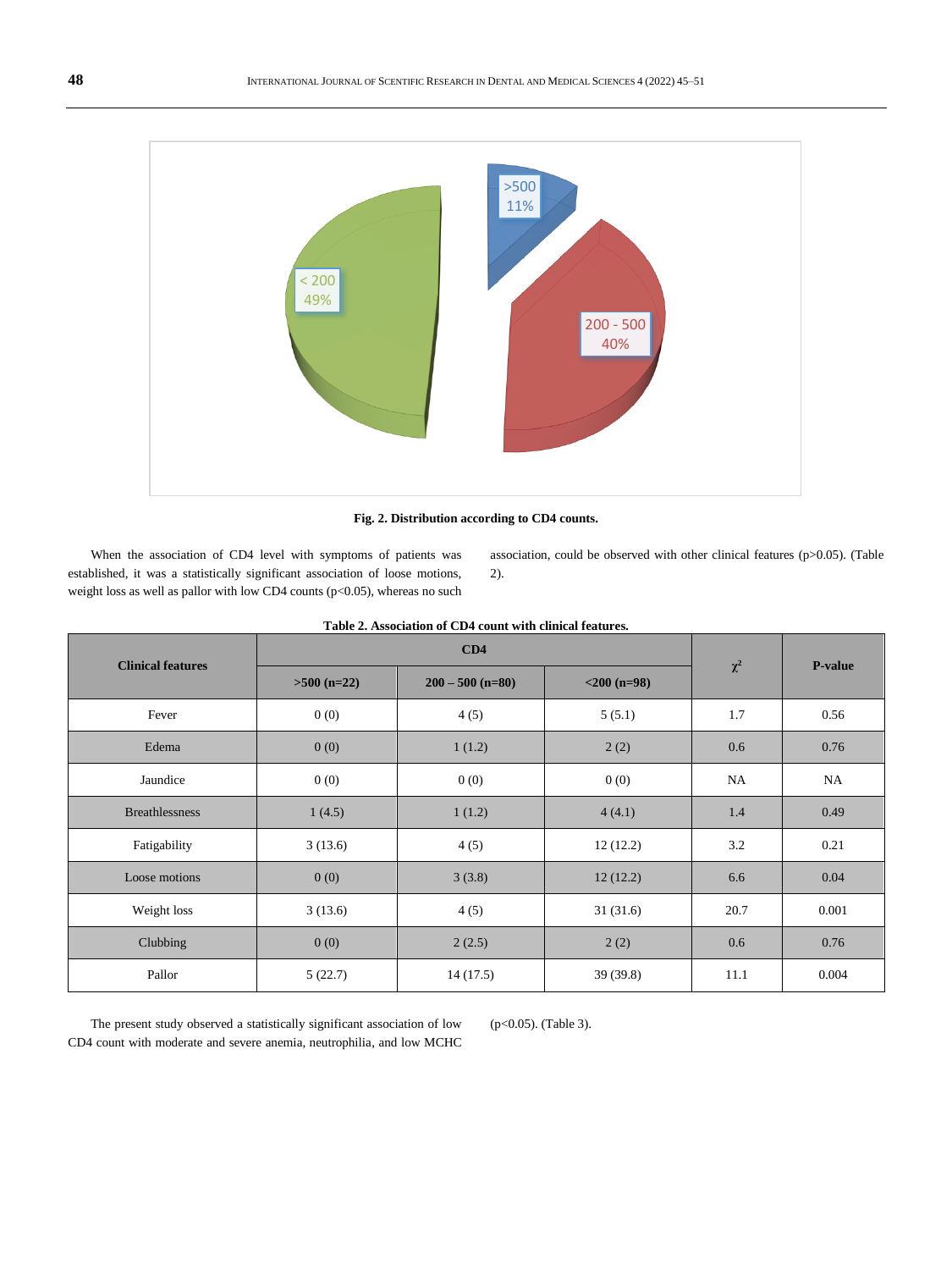

**Fig. 2. Distribution according to CD4 counts.**

When the association of CD4 level with symptoms of patients was established, it was a statistically significant association of loose motions, weight loss as well as pallor with low CD4 counts (p<0.05), whereas no such association, could be observed with other clinical features (p>0.05). (Table 2).

| <b>Clinical features</b> |               | $\chi^2$                             | <b>P-value</b> |      |       |  |
|--------------------------|---------------|--------------------------------------|----------------|------|-------|--|
|                          | $>500$ (n=22) | $200 - 500$ (n=80)<br>$<$ 200 (n=98) |                |      |       |  |
| Fever                    | 0(0)          | 4(5)                                 | 5(5.1)         | 1.7  | 0.56  |  |
| Edema                    | 0(0)          | 1(1.2)                               | 2(2)           | 0.6  | 0.76  |  |
| Jaundice                 | 0(0)          | 0(0)                                 | 0(0)           | NA   | NA    |  |
| <b>Breathlessness</b>    | 1(4.5)        | 1(1.2)                               | 4(4.1)         | 1.4  | 0.49  |  |
| Fatigability             | 3(13.6)       | 4(5)                                 | 12(12.2)       | 3.2  | 0.21  |  |
| Loose motions            | 0(0)          | 3(3.8)                               | 12(12.2)       | 6.6  | 0.04  |  |
| Weight loss              | 3(13.6)       | 4(5)                                 | 31(31.6)       | 20.7 | 0.001 |  |
| Clubbing                 | 0(0)          | 2(2.5)                               | 2(2)           | 0.6  | 0.76  |  |
| Pallor                   | 5(22.7)       | 14(17.5)                             | 39(39.8)       | 11.1 | 0.004 |  |

| Table 2. Association of CD4 count with clinical features. |  |  |  |  |
|-----------------------------------------------------------|--|--|--|--|
|-----------------------------------------------------------|--|--|--|--|

The present study observed a statistically significant association of low CD4 count with moderate and severe anemia, neutrophilia, and low MCHC (p<0.05). (Table 3).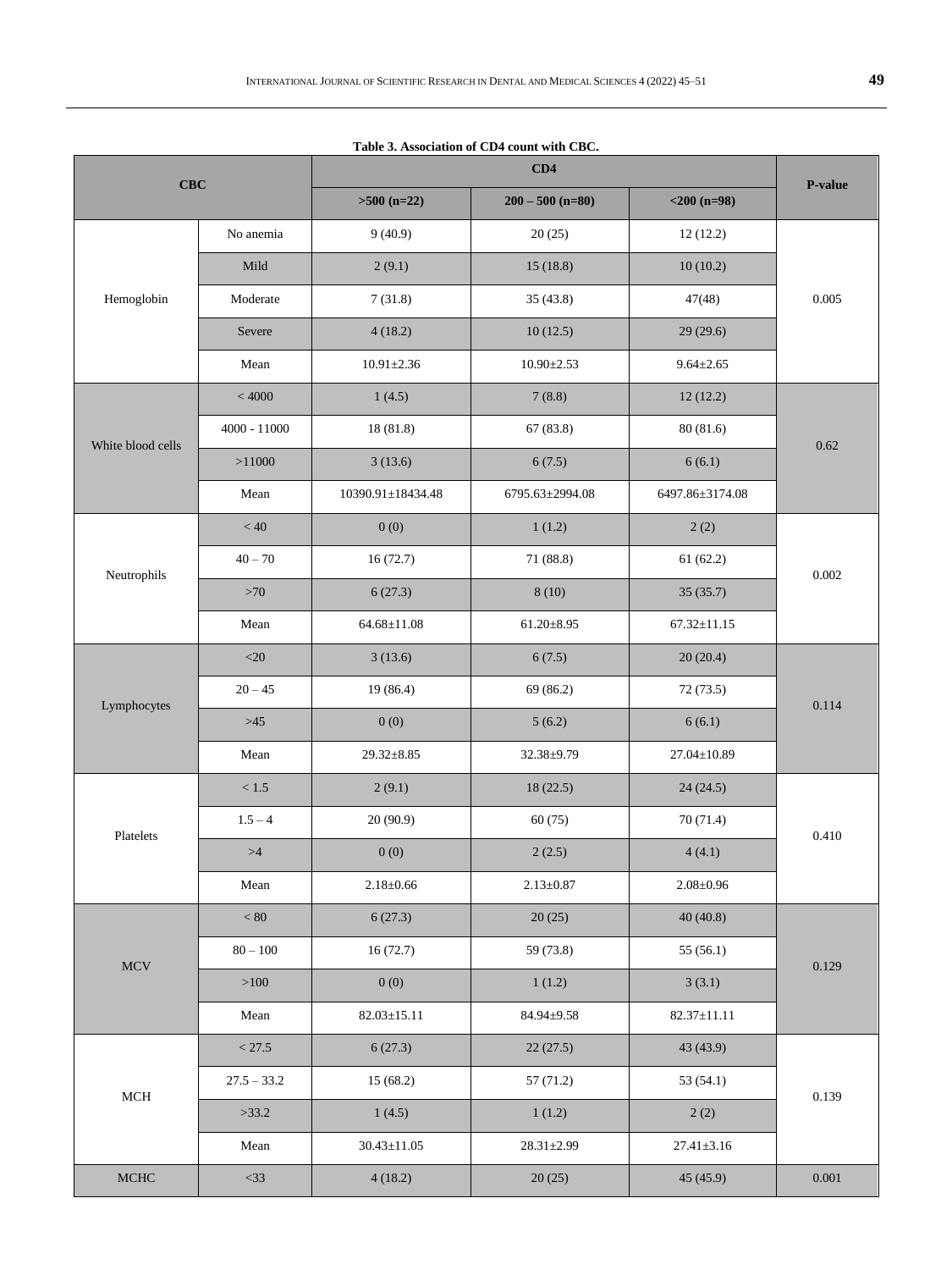|                   |                |                   | Table 3. Association of CD4 count with CBC. |                   |           |  |
|-------------------|----------------|-------------------|---------------------------------------------|-------------------|-----------|--|
|                   |                |                   | <b>P-value</b>                              |                   |           |  |
| $CBC$             |                | $>500$ (n=22)     | $200 - 500$ (n=80)                          | $<$ 200 (n=98)    |           |  |
| Hemoglobin        | No anemia      | 9(40.9)           | 20(25)                                      | 12(12.2)          |           |  |
|                   | Mild           | 2(9.1)            | 15(18.8)                                    | 10(10.2)          |           |  |
|                   | Moderate       | 7(31.8)           | 35(43.8)                                    | 47(48)            | 0.005     |  |
|                   | Severe         | 4(18.2)           | 10(12.5)                                    | 29(29.6)          |           |  |
|                   | Mean           | $10.91 \pm 2.36$  | $10.90 \pm 2.53$                            | $9.64 \pm 2.65$   |           |  |
|                   | < 4000         | 1(4.5)            | 7(8.8)                                      | 12(12.2)          |           |  |
| White blood cells | $4000 - 11000$ | 18 (81.8)         | 67(83.8)                                    | 80 (81.6)         | 0.62      |  |
|                   | >11000         | 3(13.6)           | 6(7.5)                                      | 6(6.1)            |           |  |
|                   | Mean           | 10390.91±18434.48 | 6795.63±2994.08                             | 6497.86±3174.08   |           |  |
|                   | $< 40\,$       | 0(0)              | 1(1.2)                                      | 2(2)              |           |  |
| Neutrophils       | $40 - 70$      | 16(72.7)          | 71 (88.8)                                   | 61(62.2)          | 0.002     |  |
|                   | >70            | 6(27.3)           | 8(10)                                       | 35(35.7)          |           |  |
|                   | Mean           | $64.68 \pm 11.08$ | $61.20 \pm 8.95$                            | $67.32 \pm 11.15$ |           |  |
|                   | $<$ 20         | 3(13.6)           | 6(7.5)                                      | 20(20.4)          | 0.114     |  |
| Lymphocytes       | $20 - 45$      | 19 (86.4)         | 69 (86.2)                                   | 72(73.5)          |           |  |
|                   | $>45$          | 0(0)              | 5(6.2)                                      | 6(6.1)            |           |  |
|                   | Mean           | 29.32±8.85        | 32.38±9.79                                  | $27.04 \pm 10.89$ |           |  |
|                   | $<1.5$         | 2(9.1)            | 18(22.5)                                    | 24(24.5)          | 0.410     |  |
| Platelets         | $1.5 - 4$      | 20(90.9)          | 60(75)                                      | 70 (71.4)         |           |  |
|                   | >4             | 0(0)              | 2(2.5)                                      | 4(4.1)            |           |  |
|                   | Mean           | $2.18 \pm 0.66$   | $2.13 \pm 0.87$                             | $2.08 \pm 0.96$   |           |  |
| MCV               | < 80           | 6(27.3)           | 20(25)                                      | 40(40.8)          | 0.129     |  |
|                   | $80 - 100$     | 16(72.7)          | 59 (73.8)                                   | 55(56.1)          |           |  |
|                   | >100           | 0(0)              | 1(1.2)                                      | 3(3.1)            |           |  |
|                   | Mean           | $82.03 \pm 15.11$ | 84.94±9.58                                  | $82.37 \pm 11.11$ |           |  |
| $\rm MCH$         | < 27.5         | 6(27.3)           | 22(27.5)                                    | 43(43.9)          | 0.139     |  |
|                   | $27.5 - 33.2$  | 15(68.2)          | 57(71.2)                                    | 53 (54.1)         |           |  |
|                   | >33.2          | 1(4.5)            | 1(1.2)                                      | 2(2)              |           |  |
|                   | Mean           | $30.43 \pm 11.05$ | $28.31 \pm 2.99$                            | $27.41 \pm 3.16$  |           |  |
| $\rm MCHC$        | $<$ 33         | 4(18.2)           | 20(25)                                      | 45(45.9)          | $0.001\,$ |  |

 $\mathcal{L}$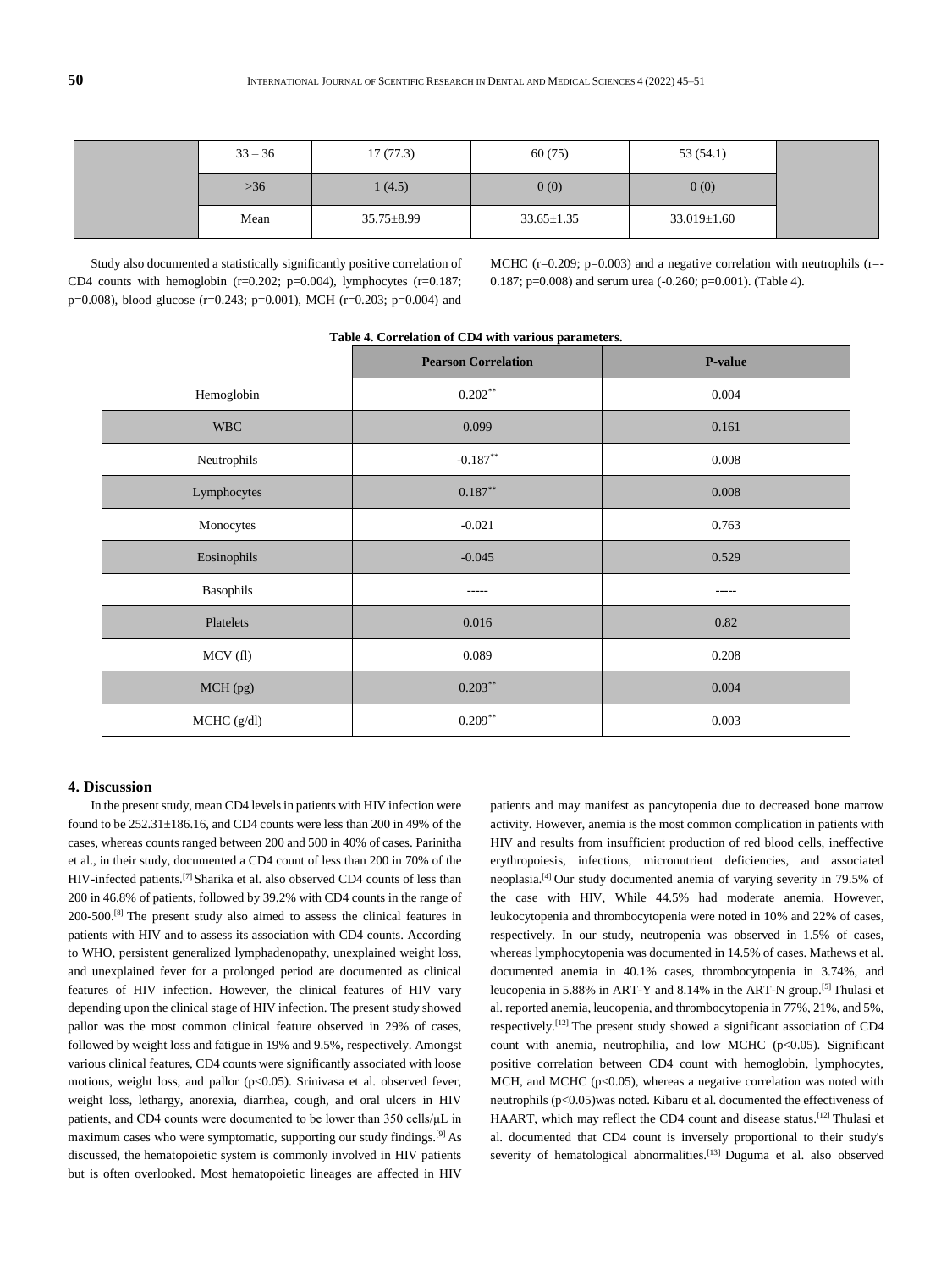| $33 - 36$ | 17(77.3)         | 60(75)           | 53(54.1)          |
|-----------|------------------|------------------|-------------------|
| $>36$     | 1(4.5)           | 0(0)             | 0(0)              |
| Mean      | $35.75 \pm 8.99$ | $33.65 \pm 1.35$ | $33.019 \pm 1.60$ |

Study also documented a statistically significantly positive correlation of CD4 counts with hemoglobin  $(r=0.202; p=0.004)$ , lymphocytes  $(r=0.187;$ p=0.008), blood glucose (r=0.243; p=0.001), MCH (r=0.203; p=0.004) and

MCHC ( $r=0.209$ ;  $p=0.003$ ) and a negative correlation with neutrophils ( $r=$ 0.187; p=0.008) and serum urea (-0.260; p=0.001). (Table 4).

| Table 4. Correlation of CD4 with various parameters. |                            |                |  |  |
|------------------------------------------------------|----------------------------|----------------|--|--|
|                                                      | <b>Pearson Correlation</b> | <b>P-value</b> |  |  |
| Hemoglobin                                           | $0.202**$                  | 0.004          |  |  |
| <b>WBC</b>                                           | 0.099                      | 0.161          |  |  |
| Neutrophils                                          | $-0.187**$                 | 0.008          |  |  |
| Lymphocytes                                          | $0.187**$                  | 0.008          |  |  |
| Monocytes                                            | $-0.021$                   | 0.763          |  |  |
| Eosinophils                                          | $-0.045$                   | 0.529          |  |  |
| Basophils                                            | -----                      | -----          |  |  |
| Platelets                                            | 0.016                      | 0.82           |  |  |
| MCV(f)                                               | 0.089                      | 0.208          |  |  |
| MCH (pg)                                             | $0.203**$                  | 0.004          |  |  |
| MCHC (g/dl)                                          | $0.209**$                  | 0.003          |  |  |
|                                                      |                            |                |  |  |

#### **Table 4. Correlation of CD4 with various parameters.**

#### **4. Discussion**

In the present study, mean CD4 levels in patients with HIV infection were found to be  $252.31 \pm 186.16$ , and CD4 counts were less than 200 in 49% of the cases, whereas counts ranged between 200 and 500 in 40% of cases. Parinitha et al., in their study, documented a CD4 count of less than 200 in 70% of the HIV-infected patients.[7] Sharika et al. also observed CD4 counts of less than 200 in 46.8% of patients, followed by 39.2% with CD4 counts in the range of 200-500.[8] The present study also aimed to assess the clinical features in patients with HIV and to assess its association with CD4 counts. According to WHO, persistent generalized lymphadenopathy, unexplained weight loss, and unexplained fever for a prolonged period are documented as clinical features of HIV infection. However, the clinical features of HIV vary depending upon the clinical stage of HIV infection. The present study showed pallor was the most common clinical feature observed in 29% of cases, followed by weight loss and fatigue in 19% and 9.5%, respectively. Amongst various clinical features, CD4 counts were significantly associated with loose motions, weight loss, and pallor (p<0.05). Srinivasa et al. observed fever, weight loss, lethargy, anorexia, diarrhea, cough, and oral ulcers in HIV patients, and CD4 counts were documented to be lower than 350 cells/μL in maximum cases who were symptomatic, supporting our study findings.[9] As discussed, the hematopoietic system is commonly involved in HIV patients but is often overlooked. Most hematopoietic lineages are affected in HIV

patients and may manifest as pancytopenia due to decreased bone marrow activity. However, anemia is the most common complication in patients with HIV and results from insufficient production of red blood cells, ineffective erythropoiesis, infections, micronutrient deficiencies, and associated neoplasia.[4] Our study documented anemia of varying severity in 79.5% of the case with HIV, While 44.5% had moderate anemia. However, leukocytopenia and thrombocytopenia were noted in 10% and 22% of cases, respectively. In our study, neutropenia was observed in 1.5% of cases, whereas lymphocytopenia was documented in 14.5% of cases. Mathews et al. documented anemia in 40.1% cases, thrombocytopenia in 3.74%, and leucopenia in 5.88% in ART-Y and 8.14% in the ART-N group.[5] Thulasi et al. reported anemia, leucopenia, and thrombocytopenia in 77%, 21%, and 5%, respectively.[12] The present study showed a significant association of CD4 count with anemia, neutrophilia, and low MCHC (p<0.05). Significant positive correlation between CD4 count with hemoglobin, lymphocytes, MCH, and MCHC (p<0.05), whereas a negative correlation was noted with neutrophils (p<0.05)was noted. Kibaru et al. documented the effectiveness of HAART, which may reflect the CD4 count and disease status.<sup>[12]</sup> Thulasi et al. documented that CD4 count is inversely proportional to their study's severity of hematological abnormalities.<sup>[13]</sup> Duguma et al. also observed